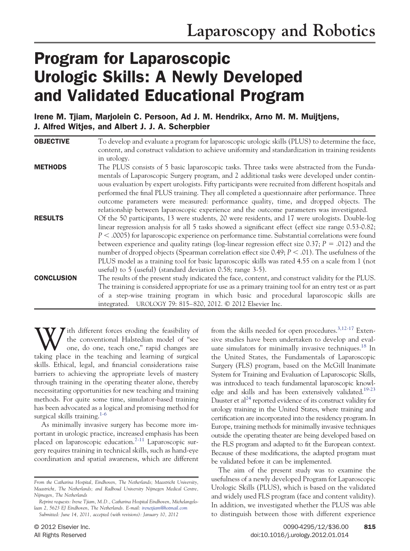# Program for Laparoscopic Urologic Skills: A Newly Developed and Validated Educational Program

Irene M. Tjiam, Marjolein C. Persoon, Ad J. M. Hendrikx, Arno M. M. Muijtjens, J. Alfred Witjes, and Albert J. J. A. Scherpbier

| <b>OBJECTIVE</b>  | To develop and evaluate a program for laparoscopic urologic skills (PLUS) to determine the face,        |
|-------------------|---------------------------------------------------------------------------------------------------------|
|                   | content, and construct validation to achieve uniformity and standardization in training residents       |
|                   | in urology.                                                                                             |
| <b>METHODS</b>    | The PLUS consists of 5 basic laparoscopic tasks. Three tasks were abstracted from the Funda-            |
|                   | mentals of Laparoscopic Surgery program, and 2 additional tasks were developed under contin-            |
|                   | uous evaluation by expert urologists. Fifty participants were recruited from different hospitals and    |
|                   | performed the final PLUS training. They all completed a questionnaire after performance. Three          |
|                   | outcome parameters were measured: performance quality, time, and dropped objects. The                   |
|                   | relationship between laparoscopic experience and the outcome parameters was investigated.               |
| <b>RESULTS</b>    | Of the 50 participants, 13 were students, 20 were residents, and 17 were urologists. Double-log         |
|                   | linear regression analysis for all 5 tasks showed a significant effect (effect size range 0.53-0.82;    |
|                   | $P < .0005$ ) for laparoscopic experience on performance time. Substantial correlations were found      |
|                   | between experience and quality ratings (log-linear regression effect size 0.37; $P = .012$ ) and the    |
|                   | number of dropped objects (Spearman correlation effect size 0.49; $P \le 0.01$ ). The usefulness of the |
|                   | PLUS model as a training tool for basic laparoscopic skills was rated 4.55 on a scale from 1 (not       |
|                   | useful) to 5 (useful) (standard deviation 0.58; range 3-5).                                             |
| <b>CONCLUSION</b> | The results of the present study indicated the face, content, and construct validity for the PLUS.      |
|                   | The training is considered appropriate for use as a primary training tool for an entry test or as part  |
|                   | of a step-wise training program in which basic and procedural laparoscopic skills are                   |
|                   | integrated. UROLOGY 79: 815-820, 2012. © 2012 Elsevier Inc.                                             |

With different forces eroding the feasibility of<br>the conventional Halstedian model of "see<br>taking place in the teaching and learning of surgical the conventional Halstedian model of "see one, do one, teach one," rapid changes are taking place in the teaching and learning of surgical skills. Ethical, legal, and financial considerations raise barriers to achieving the appropriate levels of mastery through training in the operating theater alone, thereby necessitating opportunities for new teaching and training methods. For quite some time, simulator-based training has been advocated as a logical and promising method for surgical skills training.<sup>[1-6](#page-4-0)</sup>

As minimally invasive surgery has become more important in urologic practice, increased emphasis has been placed on laparoscopic education.<sup>7-11</sup> Laparoscopic surgery requires training in technical skills, such as hand-eye coordination and spatial awareness, which are different from the skills needed for open procedures.<sup>3,12-17</sup> Extensive studies have been undertaken to develop and eval-uate simulators for minimally invasive techniques.<sup>[18](#page-5-2)</sup> In the United States, the Fundamentals of Laparoscopic Surgery (FLS) program, based on the McGill Inanimate System for Training and Evaluation of Laparoscopic Skills, was introduced to teach fundamental laparoscopic knowledge and skills and has been extensively validated.<sup>19-23</sup> Dauster et al<sup>24</sup> reported evidence of its construct validity for urology training in the United States, where training and certification are incorporated into the residency program. In Europe, training methods for minimally invasive techniques outside the operating theater are being developed based on the FLS program and adapted to fit the European context. Because of these modifications, the adapted program must be validated before it can be implemented.

The aim of the present study was to examine the usefulness of a newly developed Program for Laparoscopic Urologic Skills (PLUS), which is based on the validated and widely used FLS program (face and content validity). In addition, we investigated whether the PLUS was able to distinguish between those with different experience

*From the Catharina Hospital, Eindhoven, The Netherlands; Maastricht University, Maastricht, The Netherlands; and Radboud University Nijmegen Medical Centre, Nijmegen, The Netherlands*

*Reprint requests: Irene Tjiam, M.D., Catharina Hospital Eindhoven, Michelangelolaan 2, 5623 EJ Eindhoven, The Netherlands. E-mail: [irenetjiam@hotmail.com](mailto:irenetjiam@hotmail.com) Submitted: June 14, 2011, accepted (with revisions): January 10, 2012*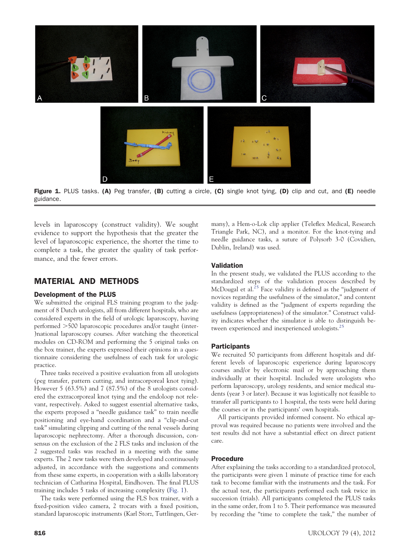

Figure 1. PLUS tasks. (A) Peg transfer, (B) cutting a circle, (C) single knot tying, (D) clip and cut, and (E) needle guidance.

<span id="page-1-0"></span>levels in laparoscopy (construct validity). We sought evidence to support the hypothesis that the greater the level of laparoscopic experience, the shorter the time to complete a task, the greater the quality of task performance, and the fewer errors.

# MATERIAL AND METHODS

#### Development of the PLUS

We submitted the original FLS training program to the judgment of 8 Dutch urologists, all from different hospitals, who are considered experts in the field of urologic laparoscopy, having performed 500 laparoscopic procedures and/or taught (inter- )national laparoscopy courses. After watching the theoretical modules on CD-ROM and performing the 5 original tasks on the box trainer, the experts expressed their opinions in a questionnaire considering the usefulness of each task for urologic practice.

Three tasks received a positive evaluation from all urologists (peg transfer, pattern cutting, and intracorporeal knot tying). However 5 (63.5%) and 7 (87.5%) of the 8 urologists considered the extracorporeal knot tying and the endoloop not relevant, respectively. Asked to suggest essential alternative tasks, the experts proposed a "needle guidance task" to train needle positioning and eye-hand coordination and a "clip-and-cut task" simulating clipping and cutting of the renal vessels during laparoscopic nephrectomy. After a thorough discussion, consensus on the exclusion of the 2 FLS tasks and inclusion of the 2 suggested tasks was reached in a meeting with the same experts. The 2 new tasks were then developed and continuously adjusted, in accordance with the suggestions and comments from these same experts, in cooperation with a skills laboratory technician of Catharina Hospital, Eindhoven. The final PLUS training includes 5 tasks of increasing complexity [\(Fig. 1\)](#page-1-0).

The tasks were performed using the FLS box trainer, with a fixed-position video camera, 2 trocars with a fixed position, standard laparoscopic instruments (Karl Storz, Tuttlingen, Ger-

many), a Hem-o-Lok clip applier (Teleflex Medical, Research Triangle Park, NC), and a monitor. For the knot-tying and needle guidance tasks, a suture of Polysorb 3-0 (Covidien, Dublin, Ireland) was used.

#### Validation

In the present study, we validated the PLUS according to the standardized steps of the validation process described by McDougal et al.<sup>[25](#page-5-5)</sup> Face validity is defined as the "judgment of novices regarding the usefulness of the simulator," and content validity is defined as the "judgment of experts regarding the usefulness (appropriateness) of the simulator." Construct validity indicates whether the simulator is able to distinguish between experienced and inexperienced urologists[.25](#page-5-5)

#### **Participants**

We recruited 50 participants from different hospitals and different levels of laparoscopic experience during laparoscopy courses and/or by electronic mail or by approaching them individually at their hospital. Included were urologists who perform laparoscopy, urology residents, and senior medical students (year 3 or later). Because it was logistically not feasible to transfer all participants to 1 hospital, the tests were held during the courses or in the participants' own hospitals.

All participants provided informed consent. No ethical approval was required because no patients were involved and the test results did not have a substantial effect on direct patient care.

## Procedure

After explaining the tasks according to a standardized protocol, the participants were given 1 minute of practice time for each task to become familiar with the instruments and the task. For the actual test, the participants performed each task twice in succession (trials). All participants completed the PLUS tasks in the same order, from 1 to 5. Their performance was measured by recording the "time to complete the task," the number of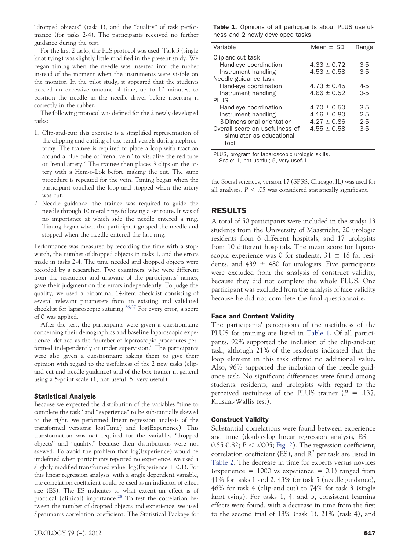"dropped objects" (task 1), and the "quality" of task performance (for tasks 2-4). The participants received no further guidance during the test.

For the first 2 tasks, the FLS protocol was used. Task 3 (single knot tying) was slightly little modified in the present study. We began timing when the needle was inserted into the rubber instead of the moment when the instruments were visible on the monitor. In the pilot study, it appeared that the students needed an excessive amount of time, up to 10 minutes, to position the needle in the needle driver before inserting it correctly in the rubber.

The following protocol was defined for the 2 newly developed tasks:

- 1. Clip-and-cut: this exercise is a simplified representation of the clipping and cutting of the renal vessels during nephrectomy. The trainee is required to place a loop with traction around a blue tube or "renal vein" to visualize the red tube or "renal artery." The trainee then places 3 clips on the artery with a Hem-o-Lok before making the cut. The same procedure is repeated for the vein. Timing began when the participant touched the loop and stopped when the artery was cut.
- 2. Needle guidance: the trainee was required to guide the needle through 10 metal rings following a set route. It was of no importance at which side the needle entered a ring. Timing began when the participant grasped the needle and stopped when the needle entered the last ring.

Performance was measured by recording the time with a stopwatch, the number of dropped objects in tasks 1, and the errors made in tasks 2-4. The time needed and dropped objects were recorded by a researcher. Two examiners, who were different from the researcher and unaware of the participants' names, gave their judgment on the errors independently. To judge the quality, we used a binominal 14-item checklist consisting of several relevant parameters from an existing and validated checklist for laparoscopic suturing.<sup>[26,27](#page-5-6)</sup> For every error, a score of 0 was applied.

After the test, the participants were given a questionnaire concerning their demographics and baseline laparoscopic experience, defined as the "number of laparoscopic procedures performed independently or under supervision." The participants were also given a questionnaire asking them to give their opinion with regard to the usefulness of the 2 new tasks (clipand-cut and needle guidance) and of the box trainer in general using a 5-point scale (1, not useful; 5, very useful).

#### Statistical Analysis

Because we expected the distribution of the variables "time to complete the task" and "experience" to be substantially skewed to the right, we performed linear regression analysis of the transformed versions: log(Time) and log(Experience). This transformation was not required for the variables "dropped objects" and "quality," because their distributions were not skewed. To avoid the problem that log(Experience) would be undefined when participants reported no experience, we used a slightly modified transformed value,  $log(Ex)$  perience  $+$  0.1). For this linear regression analysis, with a single dependent variable, the correlation coefficient could be used as an indicator of effect size (ES). The ES indicates to what extent an effect is of practical (clinical) importance.<sup>[28](#page-5-7)</sup> To test the correlation between the number of dropped objects and experience, we used Spearman's correlation coefficient. The Statistical Package for <span id="page-2-0"></span>Table 1. Opinions of all participants about PLUS usefulness and 2 newly developed tasks

| Variable                                                           | Mean $\pm$ SD                  | Range            |
|--------------------------------------------------------------------|--------------------------------|------------------|
| Clip-and-cut task<br>Hand-eye coordination<br>Instrument handling  | $4.33 + 0.72$<br>$4.53 + 0.58$ | $3-5$<br>$3 - 5$ |
| Needle guidance task                                               |                                |                  |
| Hand-eye coordination                                              | $4.73 + 0.45$                  | $4-5$            |
| Instrument handling                                                | $4.66 + 0.52$                  | $3 - 5$          |
| PI US                                                              |                                |                  |
| Hand-eye coordination                                              | $4.70 \pm 0.50$                | $3-5$            |
| Instrument handling                                                | $4.16 \pm 0.80$                | $2-5$            |
| 3-Dimensional orientation                                          | $4.27 + 0.86$                  | $2-5$            |
| Overall score on usefulness of<br>simulator as educational<br>tool | $4.55 + 0.58$                  | $3-5$            |

PLUS, program for laparoscopic urologic skills.

Scale: 1, not useful; 5, very useful.

the Social sciences, version 17 (SPSS, Chicago, IL) was used for all analyses.  $P < .05$  was considered statistically significant.

# RESULTS

A total of 50 participants were included in the study: 13 students from the University of Maastricht, 20 urologic residents from 6 different hospitals, and 17 urologists from 10 different hospitals. The mean score for laparoscopic experience was 0 for students,  $31 \pm 18$  for residents, and  $439 \pm 480$  for urologists. Five participants were excluded from the analysis of construct validity, because they did not complete the whole PLUS. One participant was excluded from the analysis of face validity because he did not complete the final questionnaire.

#### Face and Content Validity

The participants' perceptions of the usefulness of the PLUS for training are listed in [Table 1.](#page-2-0) Of all participants, 92% supported the inclusion of the clip-and-cut task, although 21% of the residents indicated that the loop element in this task offered no additional value. Also, 96% supported the inclusion of the needle guidance task. No significant differences were found among students, residents, and urologists with regard to the perceived usefulness of the PLUS trainer  $(P = .137,$ Kruskal-Wallis test).

#### Construct Validity

Substantial correlations were found between experience and time (double-log linear regression analysis, ES = 0.55-0.82;  $P <$  .0005; [Fig. 2\)](#page-3-0). The regression coefficient, correlation coefficient (ES), and  $R^2$  per task are listed in [Table 2.](#page-4-1) The decrease in time for experts versus novices (experience  $= 1000$  vs experience  $= 0.1$ ) ranged from 41% for tasks 1 and 2, 43% for task 5 (needle guidance), 46% for task 4 (clip-and-cut) to 74% for task 3 (single knot tying). For tasks 1, 4, and 5, consistent learning effects were found, with a decrease in time from the first to the second trial of 13% (task 1), 21% (task 4), and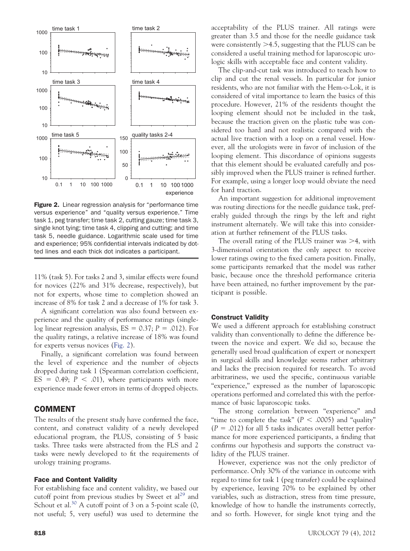

<span id="page-3-0"></span>Figure 2. Linear regression analysis for "performance time versus experience" and "quality versus experience." Time task 1, peg transfer; time task 2, cutting gauze; time task 3, single knot tying; time task 4, clipping and cutting; and time task 5, needle guidance. Logarithmic scale used for time and experience; 95% confidential intervals indicated by dotted lines and each thick dot indicates a participant.

11% (task 5). For tasks 2 and 3, similar effects were found for novices (22% and 31% decrease, respectively), but not for experts, whose time to completion showed an increase of 8% for task 2 and a decrease of 1% for task 3.

A significant correlation was also found between experience and the quality of performance ratings (single $log$  linear regression analysis,  $ES = 0.37; P = .012$ ). For the quality ratings, a relative increase of 18% was found for experts versus novices [\(Fig. 2\)](#page-3-0).

Finally, a significant correlation was found between the level of experience and the number of objects dropped during task 1 (Spearman correlation coefficient,  $ES = 0.49; P < .01$ , where participants with more experience made fewer errors in terms of dropped objects.

## COMMENT

The results of the present study have confirmed the face, content, and construct validity of a newly developed educational program, the PLUS, consisting of 5 basic tasks. Three tasks were abstracted from the FLS and 2 tasks were newly developed to fit the requirements of urology training programs.

### Face and Content Validity

For establishing face and content validity, we based our cutoff point from previous studies by Sweet et  $al^{29}$  $al^{29}$  $al^{29}$  and Schout et al.<sup>[30](#page-5-9)</sup> A cutoff point of 3 on a 5-point scale  $(0, 1)$ not useful; 5, very useful) was used to determine the

The clip-and-cut task was introduced to teach how to clip and cut the renal vessels. In particular for junior residents, who are not familiar with the Hem-o-Lok, it is considered of vital importance to learn the basics of this procedure. However, 21% of the residents thought the looping element should not be included in the task, because the traction given on the plastic tube was considered too hard and not realistic compared with the actual live traction with a loop on a renal vessel. However, all the urologists were in favor of inclusion of the looping element. This discordance of opinions suggests that this element should be evaluated carefully and possibly improved when the PLUS trainer is refined further. For example, using a longer loop would obviate the need for hard traction.

An important suggestion for additional improvement was routing directions for the needle guidance task, preferably guided through the rings by the left and right instrument alternately. We will take this into consideration at further refinement of the PLUS tasks.

The overall rating of the PLUS trainer was  $\geq 4$ , with 3-dimensional orientation the only aspect to receive lower ratings owing to the fixed camera position. Finally, some participants remarked that the model was rather basic, because once the threshold performance criteria have been attained, no further improvement by the participant is possible.

#### Construct Validity

We used a different approach for establishing construct validity than conventionally to define the difference between the novice and expert. We did so, because the generally used broad qualification of expert or nonexpert in surgical skills and knowledge seems rather arbitrary and lacks the precision required for research. To avoid arbitrariness, we used the specific, continuous variable "experience," expressed as the number of laparoscopic operations performed and correlated this with the performance of basic laparoscopic tasks.

The strong correlation between "experience" and "time to complete the task" ( $P < .0005$ ) and "quality"  $(P = .012)$  for all 5 tasks indicates overall better performance for more experienced participants, a finding that confirms our hypothesis and supports the construct validity of the PLUS trainer.

However, experience was not the only predictor of performance. Only 30% of the variance in outcome with regard to time for task 1 (peg transfer) could be explained by experience, leaving 70% to be explained by other variables, such as distraction, stress from time pressure, knowledge of how to handle the instruments correctly, and so forth. However, for single knot tying and the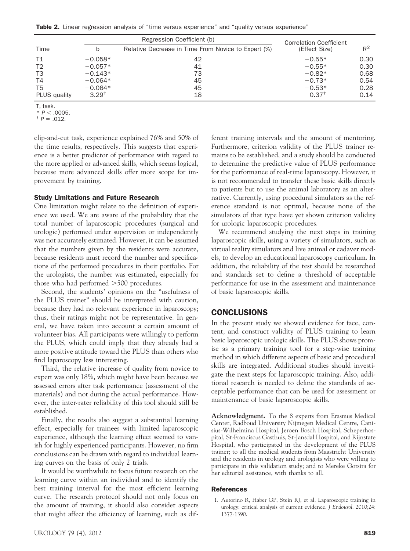<span id="page-4-1"></span>**Table 2.** Linear regression analysis of "time versus experience" and "quality versus experience"

|                |            | Regression Coefficient (b)                          | <b>Correlation Coefficient</b><br>(Effect Size) |       |  |
|----------------|------------|-----------------------------------------------------|-------------------------------------------------|-------|--|
| Time           | b          | Relative Decrease in Time From Novice to Expert (%) |                                                 | $R^2$ |  |
| T1             | $-0.058*$  | 42                                                  | $-0.55*$                                        | 0.30  |  |
| T <sub>2</sub> | $-0.057*$  | 41                                                  | $-0.55*$                                        | 0.30  |  |
| T <sub>3</sub> | $-0.143*$  | 73                                                  | $-0.82*$                                        | 0.68  |  |
| T4             | $-0.064*$  | 45                                                  | $-0.73*$                                        | 0.54  |  |
| T5             | $-0.064*$  | 45                                                  | $-0.53*$                                        | 0.28  |  |
| PLUS quality   | $3.29^{+}$ | 18                                                  | $0.37^+$                                        | 0.14  |  |

T, task.<br>\*  $P < .0005$ . \* *<sup>P</sup>* .0005. † *<sup>P</sup>* - .012.

clip-and-cut task, experience explained 76% and 50% of the time results, respectively. This suggests that experience is a better predictor of performance with regard to the more applied or advanced skills, which seems logical, because more advanced skills offer more scope for improvement by training.

#### Study Limitations and Future Research

One limitation might relate to the definition of experience we used. We are aware of the probability that the total number of laparoscopic procedures (surgical and urologic) performed under supervision or independently was not accurately estimated. However, it can be assumed that the numbers given by the residents were accurate, because residents must record the number and specifications of the performed procedures in their portfolio. For the urologists, the number was estimated, especially for those who had performed  $>500$  procedures.

Second, the students' opinions on the "usefulness of the PLUS trainer" should be interpreted with caution, because they had no relevant experience in laparoscopy; thus, their ratings might not be representative. In general, we have taken into account a certain amount of volunteer bias. All participants were willingly to perform the PLUS, which could imply that they already had a more positive attitude toward the PLUS than others who find laparoscopy less interesting.

Third, the relative increase of quality from novice to expert was only 18%, which might have been because we assessed errors after task performance (assessment of the materials) and not during the actual performance. However, the inter-rater reliability of this tool should still be established.

Finally, the results also suggest a substantial learning effect, especially for trainees with limited laparoscopic experience, although the learning effect seemed to vanish for highly experienced participants. However, no firm conclusions can be drawn with regard to individual learning curves on the basis of only 2 trials.

It would be worthwhile to focus future research on the learning curve within an individual and to identify the best training interval for the most efficient learning curve. The research protocol should not only focus on the amount of training, it should also consider aspects that might affect the efficiency of learning, such as dif-

ferent training intervals and the amount of mentoring. Furthermore, criterion validity of the PLUS trainer remains to be established, and a study should be conducted to determine the predictive value of PLUS performance for the performance of real-time laparoscopy. However, it is not recommended to transfer these basic skills directly to patients but to use the animal laboratory as an alternative. Currently, using procedural simulators as the reference standard is not optimal, because none of the simulators of that type have yet shown criterion validity for urologic laparoscopic procedures.

We recommend studying the next steps in training laparoscopic skills, using a variety of simulators, such as virtual reality simulators and live animal or cadaver models, to develop an educational laparoscopy curriculum. In addition, the reliability of the test should be researched and standards set to define a threshold of acceptable performance for use in the assessment and maintenance of basic laparoscopic skills.

#### CONCLUSIONS

In the present study we showed evidence for face, content, and construct validity of PLUS training to learn basic laparoscopic urologic skills. The PLUS shows promise as a primary training tool for a step-wise training method in which different aspects of basic and procedural skills are integrated. Additional studies should investigate the next steps for laparoscopic training. Also, additional research is needed to define the standards of acceptable performance that can be used for assessment or maintenance of basic laparoscopic skills.

**Acknowledgment.** To the 8 experts from Erasmus Medical Center, Radboud University Nijmegen Medical Centre, Canisius-Wilhelmina Hospital, Jeroen Bosch Hospital, Scheperhospital, St-Franciscus Gasthuis, St-Jansdal Hospital, and Rijnstate Hospital, who participated in the development of the PLUS trainer; to all the medical students from Maastricht University and the residents in urology and urologists who were willing to participate in this validation study; and to Mereke Gorsira for her editorial assistance, with thanks to all.

#### <span id="page-4-0"></span>References

1. Autorino R, Haber GP, Stein RJ, et al. Laparoscopic training in urology: critical analysis of current evidence. *J Endourol*. 2010;24: 1377-1390.